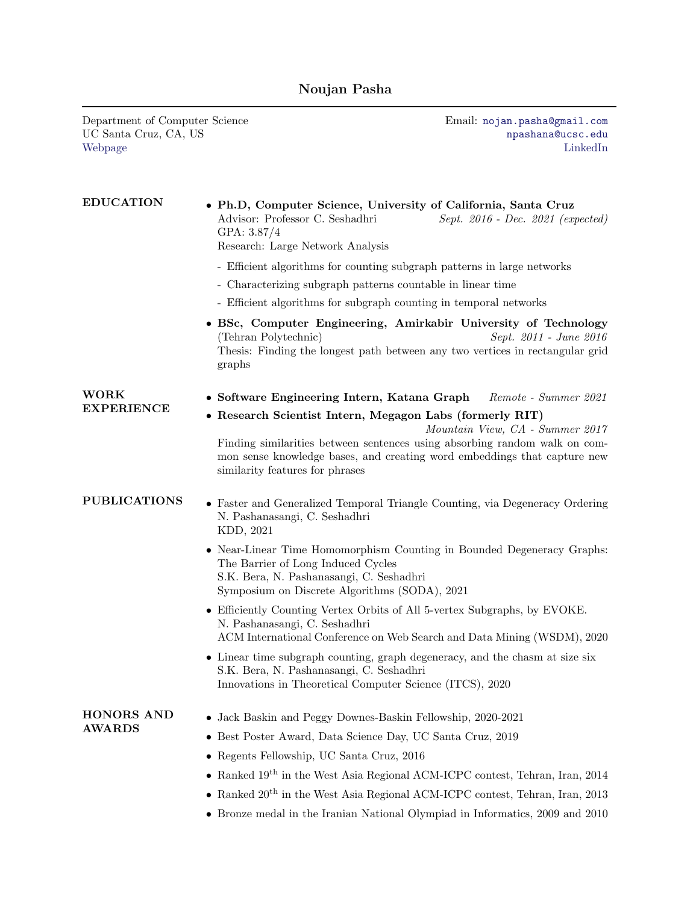## Noujan Pasha

Department of Computer Science Email: [nojan.pasha@gmail.com](mailto:nojan.pasha@gmail.com) UC Santa Cruz, CA, US [Webpage](https://users.soe.ucsc.edu/~npasha/) [LinkedIn](https://www.linkedin.com/in/noujan-pasha/)

| <b>EDUCATION</b>            | • Ph.D, Computer Science, University of California, Santa Cruz<br>Advisor: Professor C. Seshadhri<br>Sept. 2016 - Dec. 2021 (expected)<br>GPA: 3.87/4<br>Research: Large Network Analysis                                                                                                |
|-----------------------------|------------------------------------------------------------------------------------------------------------------------------------------------------------------------------------------------------------------------------------------------------------------------------------------|
|                             | - Efficient algorithms for counting subgraph patterns in large networks                                                                                                                                                                                                                  |
|                             | - Characterizing subgraph patterns countable in linear time                                                                                                                                                                                                                              |
|                             | - Efficient algorithms for subgraph counting in temporal networks                                                                                                                                                                                                                        |
|                             | • BSc, Computer Engineering, Amirkabir University of Technology<br>(Tehran Polytechnic)<br>Sept. 2011 - June 2016<br>Thesis: Finding the longest path between any two vertices in rectangular grid<br>graphs                                                                             |
| <b>WORK</b>                 | • Software Engineering Intern, Katana Graph<br>Remote - Summer 2021                                                                                                                                                                                                                      |
| <b>EXPERIENCE</b>           | • Research Scientist Intern, Megagon Labs (formerly RIT)<br>Mountain View, CA - Summer 2017<br>Finding similarities between sentences using absorbing random walk on com-<br>mon sense knowledge bases, and creating word embeddings that capture new<br>similarity features for phrases |
| <b>PUBLICATIONS</b>         | • Faster and Generalized Temporal Triangle Counting, via Degeneracy Ordering<br>N. Pashanasangi, C. Seshadhri<br>KDD, 2021                                                                                                                                                               |
|                             | • Near-Linear Time Homomorphism Counting in Bounded Degeneracy Graphs:<br>The Barrier of Long Induced Cycles<br>S.K. Bera, N. Pashanasangi, C. Seshadhri<br>Symposium on Discrete Algorithms (SODA), 2021                                                                                |
|                             | • Efficiently Counting Vertex Orbits of All 5-vertex Subgraphs, by EVOKE.<br>N. Pashanasangi, C. Seshadhri<br>ACM International Conference on Web Search and Data Mining (WSDM), 2020                                                                                                    |
|                             | • Linear time subgraph counting, graph degeneracy, and the chasm at size six<br>S.K. Bera, N. Pashanasangi, C. Seshadhri<br>Innovations in Theoretical Computer Science (ITCS), 2020                                                                                                     |
| HONORS AND<br><b>AWARDS</b> | Jack Baskin and Peggy Downes-Baskin Fellowship, 2020-2021                                                                                                                                                                                                                                |
|                             | Best Poster Award, Data Science Day, UC Santa Cruz, 2019                                                                                                                                                                                                                                 |
|                             | • Regents Fellowship, UC Santa Cruz, 2016                                                                                                                                                                                                                                                |
|                             | • Ranked $19^{th}$ in the West Asia Regional ACM-ICPC contest, Tehran, Iran, 2014                                                                                                                                                                                                        |
|                             | $\bullet~$ Ranked $20^{\rm th}$ in the West Asia Regional ACM-ICPC contest, Tehran, Iran, 2013                                                                                                                                                                                           |
|                             | • Bronze medal in the Iranian National Olympiad in Informatics, 2009 and 2010                                                                                                                                                                                                            |